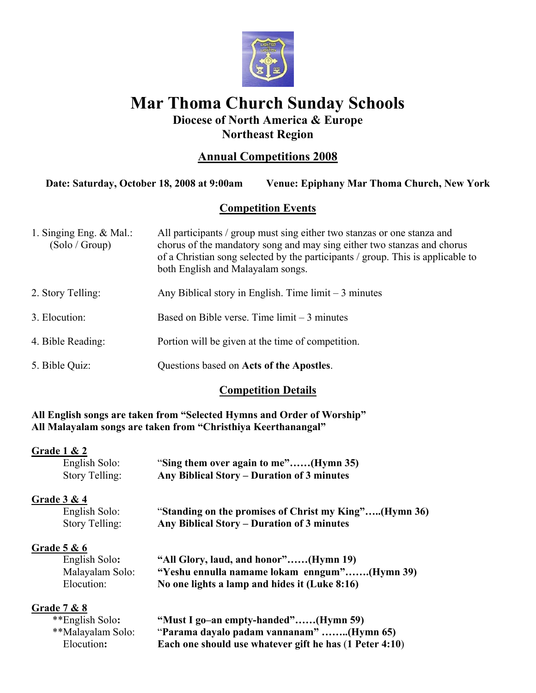

# **Mar Thoma Church Sunday Schools Diocese of North America & Europe**

# **Northeast Region**

# **Annual Competitions 2008**

**Date: Saturday, October 18, 2008 at 9:00am Venue: Epiphany Mar Thoma Church, New York** 

# **Competition Events**

| 1. Singing Eng. $&$ Mal.:<br>(Solo/Group) | All participants / group must sing either two stanzas or one stanza and<br>chorus of the mandatory song and may sing either two stanzas and chorus<br>of a Christian song selected by the participants / group. This is applicable to<br>both English and Malayalam songs. |
|-------------------------------------------|----------------------------------------------------------------------------------------------------------------------------------------------------------------------------------------------------------------------------------------------------------------------------|
| 2. Story Telling:                         | Any Biblical story in English. Time $\lim_{x \to 0}$ minutes                                                                                                                                                                                                               |
| 3. Elocution:                             | Based on Bible verse. Time $\lim_{x \to 3}$ minutes                                                                                                                                                                                                                        |
| 4. Bible Reading:                         | Portion will be given at the time of competition.                                                                                                                                                                                                                          |
| 5. Bible Quiz:                            | Questions based on Acts of the Apostles.                                                                                                                                                                                                                                   |

# **Competition Details**

**All English songs are taken from "Selected Hymns and Order of Worship" All Malayalam songs are taken from "Christhiya Keerthanangal"** 

#### **Grade 1 & 2**

| English Solo:  | "Sing them over again to me"(Hymn 35)      |
|----------------|--------------------------------------------|
| Story Telling: | Any Biblical Story – Duration of 3 minutes |

# **Grade 3 & 4**

English Solo: "**Standing on the promises of Christ my King"…..(Hymn 36)**  Story Telling: **Any Biblical Story – Duration of 3 minutes**

# **Grade 5 & 6**

 English Solo**: "All Glory, laud, and honor"……(Hymn 19)**  Malayalam Solo: **"Yeshu ennulla namame lokam enngum"…….(Hymn 39)** Elocution: **No one lights a lamp and hides it (Luke 8:16)**

# **Grade 7 & 8**

| **English Solo:   | "Must I go-an empty-handed"(Hymn 59)                    |
|-------------------|---------------------------------------------------------|
| **Malayalam Solo: | "Parama dayalo padam vannanam" (Hymn 65)                |
| Elocution:        | Each one should use whatever gift he has (1 Peter 4:10) |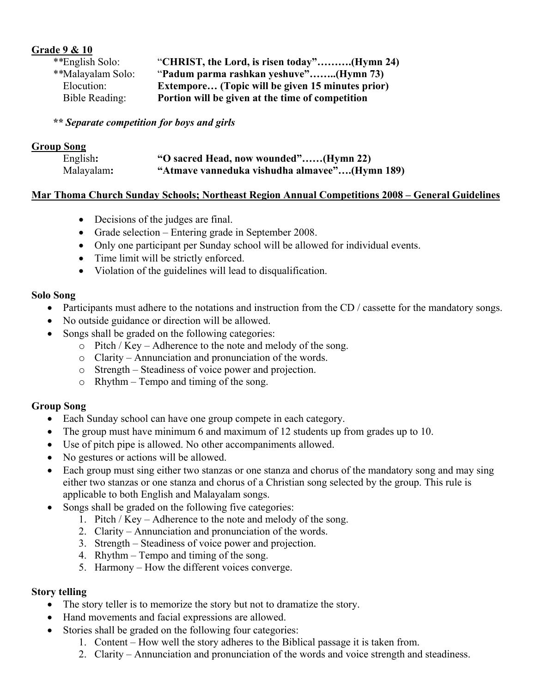### **Grade 9 & 10**

| **English Solo:   | "CHRIST, the Lord, is risen today"(Hymn 24)      |
|-------------------|--------------------------------------------------|
| **Malayalam Solo: | "Padum parma rashkan yeshuve"(Hymn 73)           |
| Elocution:        | Extempore (Topic will be given 15 minutes prior) |
| Bible Reading:    | Portion will be given at the time of competition |

#### *\*\* Separate competition for boys and girls*

#### **Group Song**

| English:   | "O sacred Head, now wounded"(Hymn 22)         |
|------------|-----------------------------------------------|
| Malayalam: | "Atmave vanneduka vishudha almavee"(Hymn 189) |

#### **Mar Thoma Church Sunday Schools; Northeast Region Annual Competitions 2008 – General Guidelines**

- Decisions of the judges are final.
- Grade selection Entering grade in September 2008.
- Only one participant per Sunday school will be allowed for individual events.
- Time limit will be strictly enforced.
- Violation of the guidelines will lead to disqualification.

#### **Solo Song**

- Participants must adhere to the notations and instruction from the CD / cassette for the mandatory songs.
- No outside guidance or direction will be allowed.
- Songs shall be graded on the following categories:
	- o Pitch / Key Adherence to the note and melody of the song.
	- o Clarity Annunciation and pronunciation of the words.
	- o Strength Steadiness of voice power and projection.
	- o Rhythm Tempo and timing of the song.

#### **Group Song**

- Each Sunday school can have one group compete in each category.
- The group must have minimum 6 and maximum of 12 students up from grades up to 10.
- Use of pitch pipe is allowed. No other accompaniments allowed.
- No gestures or actions will be allowed.
- Each group must sing either two stanzas or one stanza and chorus of the mandatory song and may sing either two stanzas or one stanza and chorus of a Christian song selected by the group. This rule is applicable to both English and Malayalam songs.
- Songs shall be graded on the following five categories:
	- 1. Pitch / Key Adherence to the note and melody of the song.
	- 2. Clarity Annunciation and pronunciation of the words.
	- 3. Strength Steadiness of voice power and projection.
	- 4. Rhythm Tempo and timing of the song.
	- 5. Harmony How the different voices converge.

#### **Story telling**

- The story teller is to memorize the story but not to dramatize the story.
- Hand movements and facial expressions are allowed.
- Stories shall be graded on the following four categories:
	- 1. Content How well the story adheres to the Biblical passage it is taken from.
	- 2. Clarity Annunciation and pronunciation of the words and voice strength and steadiness.